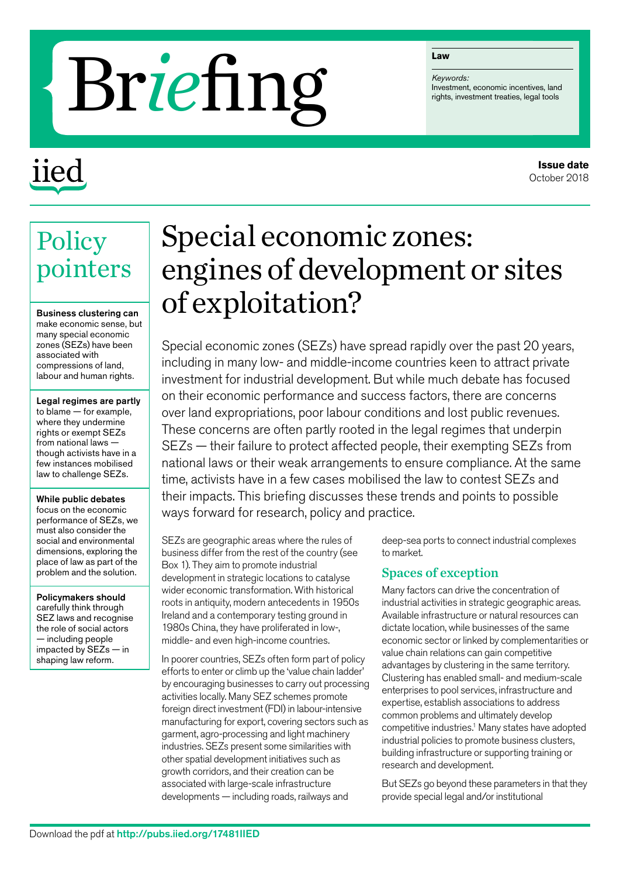#### **Law**

*Keywords:*

# **Exercises**<br> **Exercises**<br> **EXERCISE**<br> **EXERCISE**<br> **EXERCISE**<br> **EXERCISE**<br> **EXERCISE**<br> **EXERCISE**<br> **EXERCISE**<br> **EXERCISE**<br> **EXERCISE**<br> **EXERCISE**<br> **EXERCISE**<br> **EXERCISE**

## iied

## Special economic zones: engines of development or sites of exploitation?

Special economic zones (SEZs) have spread rapidly over the past 20 years, including in many low- and middle-income countries keen to attract private investment for industrial development. But while much debate has focused on their economic performance and success factors, there are concerns over land expropriations, poor labour conditions and lost public revenues. These concerns are often partly rooted in the legal regimes that underpin SEZs — their failure to protect affected people, their exempting SEZs from national laws or their weak arrangements to ensure compliance. At the same time, activists have in a few cases mobilised the law to contest SEZs and their impacts. This briefing discusses these trends and points to possible ways forward for research, policy and practice.

SEZs are geographic areas where the rules of business differ from the rest of the country (see Box 1). They aim to promote industrial development in strategic locations to catalyse wider economic transformation. With historical roots in antiquity, modern antecedents in 1950s Ireland and a contemporary testing ground in 1980s China, they have proliferated in low-, middle- and even high-income countries.

In poorer countries, SEZs often form part of policy efforts to enter or climb up the 'value chain ladder' by encouraging businesses to carry out processing activities locally. Many SEZ schemes promote foreign direct investment (FDI) in labour-intensive manufacturing for export, covering sectors such as garment, agro-processing and light machinery industries. SEZs present some similarities with other spatial development initiatives such as growth corridors, and their creation can be associated with large-scale infrastructure developments — including roads, railways and

deep-sea ports to connect industrial complexes to market.

#### Spaces of exception

Many factors can drive the concentration of industrial activities in strategic geographic areas. Available infrastructure or natural resources can dictate location, while businesses of the same economic sector or linked by complementarities or value chain relations can gain competitive advantages by clustering in the same territory. Clustering has enabled small- and medium-scale enterprises to pool services, infrastructure and expertise, establish associations to address common problems and ultimately develop competitive industries.<sup>1</sup> Many states have adopted industrial policies to promote business clusters, building infrastructure or supporting training or research and development.

But SEZs go beyond these parameters in that they provide special legal and/or institutional

### **Policy** pointers

Business clustering can make economic sense, but many special economic zones (SEZs) have been associated with compressions of land, labour and human rights.

Legal regimes are partly to blame — for example, where they undermine rights or exempt SEZs from national laws though activists have in a few instances mobilised law to challenge SEZs.

While public debates focus on the economic performance of SEZs, we must also consider the social and environmental dimensions, exploring the place of law as part of the problem and the solution.

Policymakers should carefully think through SEZ laws and recognise the role of social actors — including people impacted by SEZs — in shaping law reform.

#### **Issue date** October 2018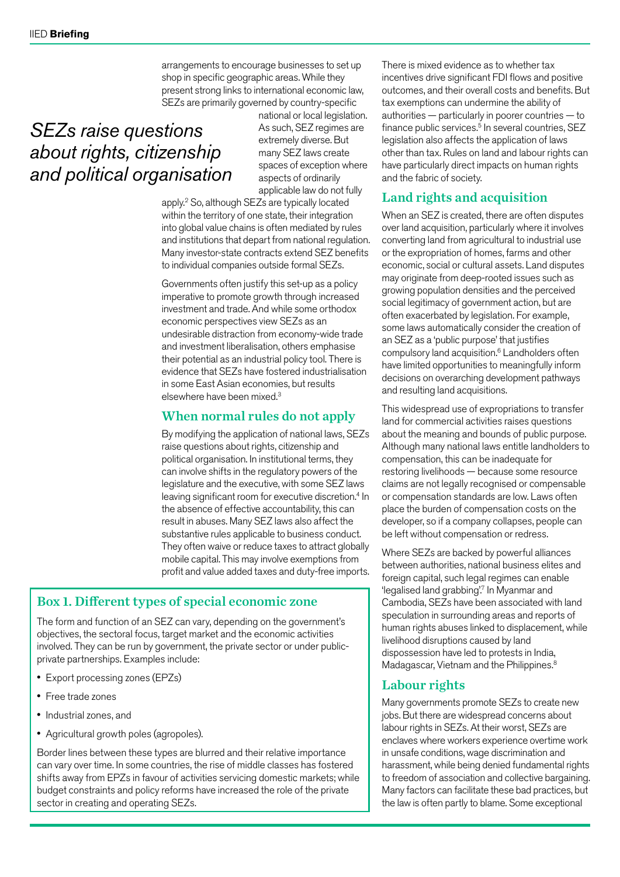arrangements to encourage businesses to set up shop in specific geographic areas. While they present strong links to international economic law, SEZs are primarily governed by country-specific

#### *SEZs raise questions about rights, citizenship and political organisation*

national or local legislation. As such, SEZ regimes are extremely diverse. But many SEZ laws create spaces of exception where aspects of ordinarily applicable law do not fully

apply.2 So, although SEZs are typically located within the territory of one state, their integration into global value chains is often mediated by rules and institutions that depart from national regulation. Many investor-state contracts extend SEZ benefits to individual companies outside formal SEZs.

Governments often justify this set-up as a policy imperative to promote growth through increased investment and trade. And while some orthodox economic perspectives view SEZs as an undesirable distraction from economy-wide trade and investment liberalisation, others emphasise their potential as an industrial policy tool. There is evidence that SEZs have fostered industrialisation in some East Asian economies, but results elsewhere have been mixed.3

#### When normal rules do not apply

By modifying the application of national laws, SEZs raise questions about rights, citizenship and political organisation. In institutional terms, they can involve shifts in the regulatory powers of the legislature and the executive, with some SEZ laws leaving significant room for executive discretion.<sup>4</sup> In the absence of effective accountability, this can result in abuses. Many SEZ laws also affect the substantive rules applicable to business conduct. They often waive or reduce taxes to attract globally mobile capital. This may involve exemptions from profit and value added taxes and duty-free imports.

#### Box 1. Different types of special economic zone

The form and function of an SEZ can vary, depending on the government's objectives, the sectoral focus, target market and the economic activities involved. They can be run by government, the private sector or under publicprivate partnerships. Examples include:

- Export processing zones (EPZs)
- Free trade zones
- Industrial zones, and
- Agricultural growth poles (agropoles).

Border lines between these types are blurred and their relative importance can vary over time. In some countries, the rise of middle classes has fostered shifts away from EPZs in favour of activities servicing domestic markets; while budget constraints and policy reforms have increased the role of the private sector in creating and operating SEZs.

There is mixed evidence as to whether tax incentives drive significant FDI flows and positive outcomes, and their overall costs and benefits. But tax exemptions can undermine the ability of authorities — particularly in poorer countries — to finance public services.<sup>5</sup> In several countries, SEZ legislation also affects the application of laws other than tax. Rules on land and labour rights can have particularly direct impacts on human rights and the fabric of society.

#### Land rights and acquisition

When an SEZ is created, there are often disputes over land acquisition, particularly where it involves converting land from agricultural to industrial use or the expropriation of homes, farms and other economic, social or cultural assets. Land disputes may originate from deep-rooted issues such as growing population densities and the perceived social legitimacy of government action, but are often exacerbated by legislation. For example, some laws automatically consider the creation of an SEZ as a 'public purpose' that justifies compulsory land acquisition.6 Landholders often have limited opportunities to meaningfully inform decisions on overarching development pathways and resulting land acquisitions.

This widespread use of expropriations to transfer land for commercial activities raises questions about the meaning and bounds of public purpose. Although many national laws entitle landholders to compensation, this can be inadequate for restoring livelihoods — because some resource claims are not legally recognised or compensable or compensation standards are low. Laws often place the burden of compensation costs on the developer, so if a company collapses, people can be left without compensation or redress.

Where SEZs are backed by powerful alliances between authorities, national business elites and foreign capital, such legal regimes can enable 'legalised land grabbing'.7 In Myanmar and Cambodia, SEZs have been associated with land speculation in surrounding areas and reports of human rights abuses linked to displacement, while livelihood disruptions caused by land dispossession have led to protests in India, Madagascar, Vietnam and the Philippines.<sup>8</sup>

#### Labour rights

Many governments promote SEZs to create new jobs. But there are widespread concerns about labour rights in SEZs. At their worst, SEZs are enclaves where workers experience overtime work in unsafe conditions, wage discrimination and harassment, while being denied fundamental rights to freedom of association and collective bargaining. Many factors can facilitate these bad practices, but the law is often partly to blame. Some exceptional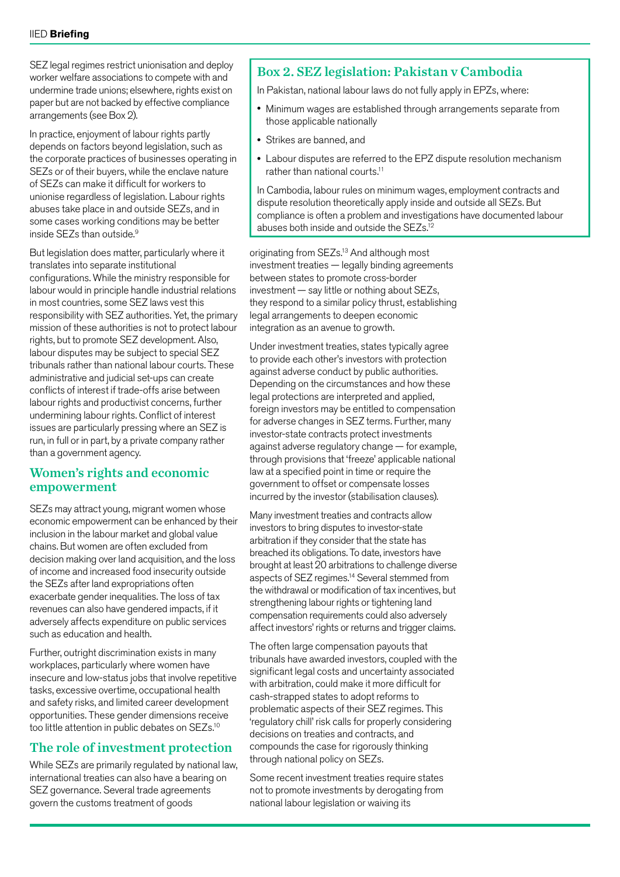SEZ legal regimes restrict unionisation and deploy worker welfare associations to compete with and undermine trade unions; elsewhere, rights exist on paper but are not backed by effective compliance arrangements (see Box 2).

In practice, enjoyment of labour rights partly depends on factors beyond legislation, such as the corporate practices of businesses operating in SEZs or of their buyers, while the enclave nature of SEZs can make it difficult for workers to unionise regardless of legislation. Labour rights abuses take place in and outside SEZs, and in some cases working conditions may be better inside SEZs than outside.9

But legislation does matter, particularly where it translates into separate institutional configurations. While the ministry responsible for labour would in principle handle industrial relations in most countries, some SEZ laws vest this responsibility with SEZ authorities. Yet, the primary mission of these authorities is not to protect labour rights, but to promote SEZ development. Also, labour disputes may be subject to special SEZ tribunals rather than national labour courts. These administrative and judicial set-ups can create conflicts of interest if trade-offs arise between labour rights and productivist concerns, further undermining labour rights. Conflict of interest issues are particularly pressing where an SEZ is run, in full or in part, by a private company rather than a government agency.

#### Women's rights and economic empowerment

SEZs may attract young, migrant women whose economic empowerment can be enhanced by their inclusion in the labour market and global value chains. But women are often excluded from decision making over land acquisition, and the loss of income and increased food insecurity outside the SEZs after land expropriations often exacerbate gender inequalities. The loss of tax revenues can also have gendered impacts, if it adversely affects expenditure on public services such as education and health.

Further, outright discrimination exists in many workplaces, particularly where women have insecure and low-status jobs that involve repetitive tasks, excessive overtime, occupational health and safety risks, and limited career development opportunities. These gender dimensions receive too little attention in public debates on SEZs.<sup>10</sup>

#### The role of investment protection

While SEZs are primarily regulated by national law, international treaties can also have a bearing on SEZ governance. Several trade agreements govern the customs treatment of goods

#### Box 2. SEZ legislation: Pakistan v Cambodia

In Pakistan, national labour laws do not fully apply in EPZs, where:

- Minimum wages are established through arrangements separate from those applicable nationally
- Strikes are banned, and
- Labour disputes are referred to the EPZ dispute resolution mechanism rather than national courts.<sup>11</sup>

In Cambodia, labour rules on minimum wages, employment contracts and dispute resolution theoretically apply inside and outside all SEZs. But compliance is often a problem and investigations have documented labour abuses both inside and outside the SEZs.12

originating from SEZs.13 And although most investment treaties — legally binding agreements between states to promote cross-border investment — say little or nothing about SEZs, they respond to a similar policy thrust, establishing legal arrangements to deepen economic integration as an avenue to growth.

Under investment treaties, states typically agree to provide each other's investors with protection against adverse conduct by public authorities. Depending on the circumstances and how these legal protections are interpreted and applied, foreign investors may be entitled to compensation for adverse changes in SEZ terms. Further, many investor-state contracts protect investments against adverse regulatory change — for example, through provisions that 'freeze' applicable national law at a specified point in time or require the government to offset or compensate losses incurred by the investor (stabilisation clauses).

Many investment treaties and contracts allow investors to bring disputes to investor-state arbitration if they consider that the state has breached its obligations. To date, investors have brought at least 20 arbitrations to challenge diverse aspects of SEZ regimes.14 Several stemmed from the withdrawal or modification of tax incentives, but strengthening labour rights or tightening land compensation requirements could also adversely affect investors' rights or returns and trigger claims.

The often large compensation payouts that tribunals have awarded investors, coupled with the significant legal costs and uncertainty associated with arbitration, could make it more difficult for cash-strapped states to adopt reforms to problematic aspects of their SEZ regimes. This 'regulatory chill' risk calls for properly considering decisions on treaties and contracts, and compounds the case for rigorously thinking through national policy on SEZs.

Some recent investment treaties require states not to promote investments by derogating from national labour legislation or waiving its